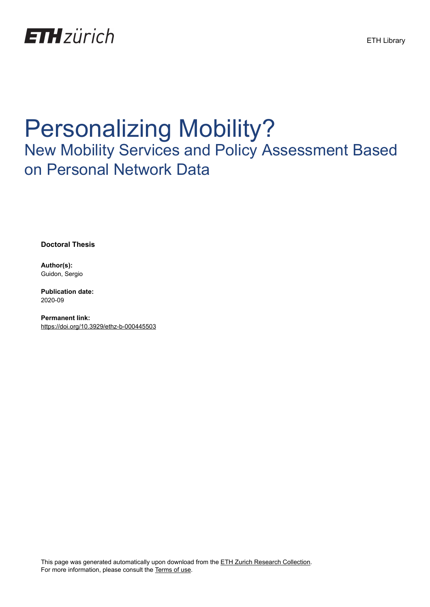

## Personalizing Mobility?

## New Mobility Services and Policy Assessment Based on Personal Network Data

**Doctoral Thesis**

**Author(s):** Guidon, Sergio

**Publication date:** 2020-09

**Permanent link:** <https://doi.org/10.3929/ethz-b-000445503>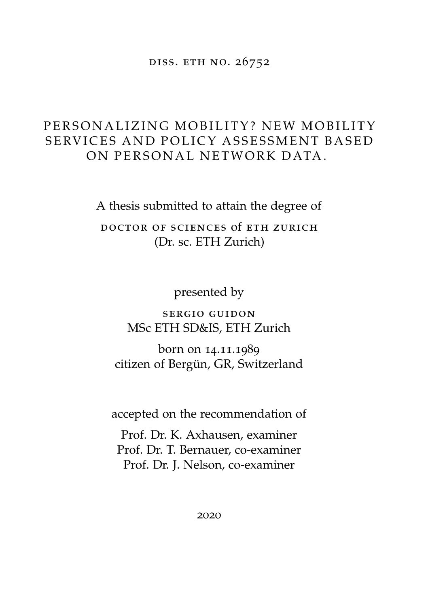diss. eth no. 26752

## PERSONALIZING MOBILITY? NEW MOBILITY SERVICES AND POLICY ASSESSMENT BASED ON PERSONAL NETWORK DATA.

A thesis submitted to attain the degree of

doctor of sciences of eth zurich (Dr. sc. ETH Zurich)

presented by

sergio guidon MSc ETH SD&IS, ETH Zurich

born on 14.11.1989 citizen of Bergün, GR, Switzerland

accepted on the recommendation of

Prof. Dr. K. Axhausen, examiner Prof. Dr. T. Bernauer, co-examiner Prof. Dr. J. Nelson, co-examiner

2020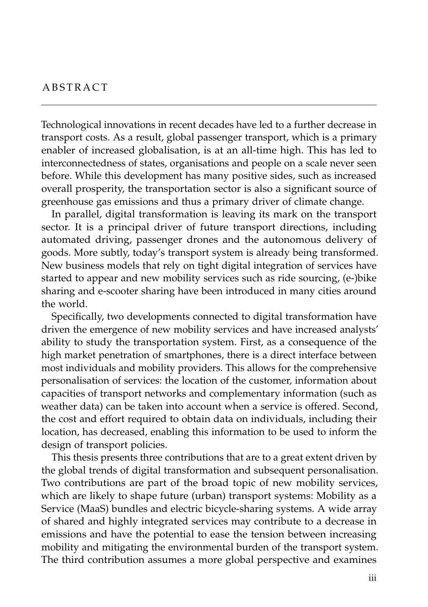Technological innovations in recent decades have led to a further decrease in transport costs. As a result, global passenger transport, which is a primary enabler of increased globalisation, is at an all-time high. This has led to interconnectedness of states, organisations and people on a scale never seen before. While this development has many positive sides, such as increased overall prosperity, the transportation sector is also a significant source of greenhouse gas emissions and thus a primary driver of climate change.

In parallel, digital transformation is leaving its mark on the transport sector. It is a principal driver of future transport directions, including automated driving, passenger drones and the autonomous delivery of goods. More subtly, today's transport system is already being transformed. New business models that rely on tight digital integration of services have started to appear and new mobility services such as ride sourcing, (e-)bike sharing and e-scooter sharing have been introduced in many cities around the world.

Specifically, two developments connected to digital transformation have driven the emergence of new mobility services and have increased analysts' ability to study the transportation system. First, as a consequence of the high market penetration of smartphones, there is a direct interface between most individuals and mobility providers. This allows for the comprehensive personalisation of services: the location of the customer, information about capacities of transport networks and complementary information (such as weather data) can be taken into account when a service is offered. Second, the cost and effort required to obtain data on individuals, including their location, has decreased, enabling this information to be used to inform the design of transport policies.

This thesis presents three contributions that are to a great extent driven by the global trends of digital transformation and subsequent personalisation. Two contributions are part of the broad topic of new mobility services, which are likely to shape future (urban) transport systems: Mobility as a Service (MaaS) bundles and electric bicycle-sharing systems. A wide array of shared and highly integrated services may contribute to a decrease in emissions and have the potential to ease the tension between increasing mobility and mitigating the environmental burden of the transport system. The third contribution assumes a more global perspective and examines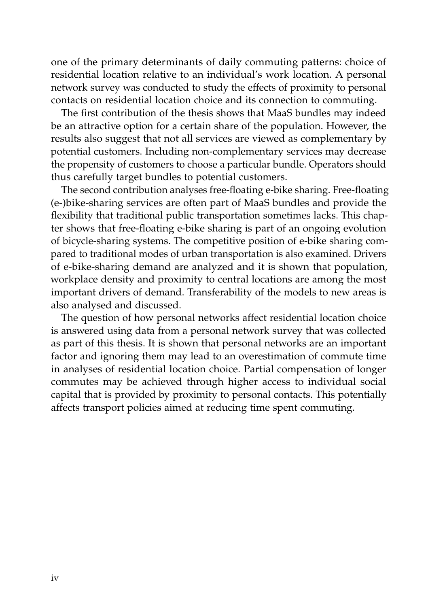one of the primary determinants of daily commuting patterns: choice of residential location relative to an individual's work location. A personal network survey was conducted to study the effects of proximity to personal contacts on residential location choice and its connection to commuting.

The first contribution of the thesis shows that MaaS bundles may indeed be an attractive option for a certain share of the population. However, the results also suggest that not all services are viewed as complementary by potential customers. Including non-complementary services may decrease the propensity of customers to choose a particular bundle. Operators should thus carefully target bundles to potential customers.

The second contribution analyses free-floating e-bike sharing. Free-floating (e-)bike-sharing services are often part of MaaS bundles and provide the flexibility that traditional public transportation sometimes lacks. This chapter shows that free-floating e-bike sharing is part of an ongoing evolution of bicycle-sharing systems. The competitive position of e-bike sharing compared to traditional modes of urban transportation is also examined. Drivers of e-bike-sharing demand are analyzed and it is shown that population, workplace density and proximity to central locations are among the most important drivers of demand. Transferability of the models to new areas is also analysed and discussed.

The question of how personal networks affect residential location choice is answered using data from a personal network survey that was collected as part of this thesis. It is shown that personal networks are an important factor and ignoring them may lead to an overestimation of commute time in analyses of residential location choice. Partial compensation of longer commutes may be achieved through higher access to individual social capital that is provided by proximity to personal contacts. This potentially affects transport policies aimed at reducing time spent commuting.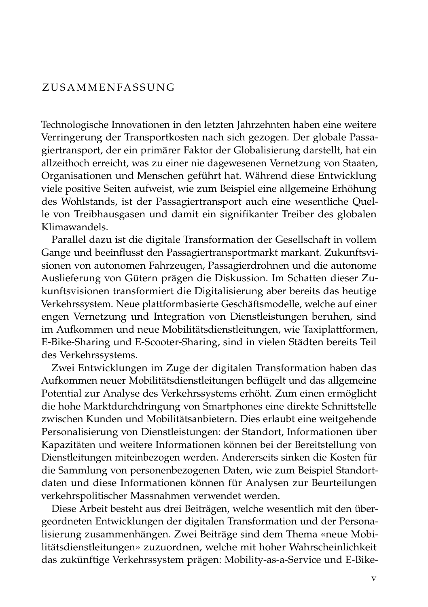Technologische Innovationen in den letzten Jahrzehnten haben eine weitere Verringerung der Transportkosten nach sich gezogen. Der globale Passagiertransport, der ein primärer Faktor der Globalisierung darstellt, hat ein allzeithoch erreicht, was zu einer nie dagewesenen Vernetzung von Staaten, Organisationen und Menschen geführt hat. Während diese Entwicklung viele positive Seiten aufweist, wie zum Beispiel eine allgemeine Erhöhung des Wohlstands, ist der Passagiertransport auch eine wesentliche Quelle von Treibhausgasen und damit ein signifikanter Treiber des globalen Klimawandels.

Parallel dazu ist die digitale Transformation der Gesellschaft in vollem Gange und beeinflusst den Passagiertransportmarkt markant. Zukunftsvisionen von autonomen Fahrzeugen, Passagierdrohnen und die autonome Auslieferung von Gütern prägen die Diskussion. Im Schatten dieser Zukunftsvisionen transformiert die Digitalisierung aber bereits das heutige Verkehrssystem. Neue plattformbasierte Geschäftsmodelle, welche auf einer engen Vernetzung und Integration von Dienstleistungen beruhen, sind im Aufkommen und neue Mobilitätsdienstleitungen, wie Taxiplattformen, E-Bike-Sharing und E-Scooter-Sharing, sind in vielen Städten bereits Teil des Verkehrssystems.

Zwei Entwicklungen im Zuge der digitalen Transformation haben das Aufkommen neuer Mobilitätsdienstleitungen beflügelt und das allgemeine Potential zur Analyse des Verkehrssystems erhöht. Zum einen ermöglicht die hohe Marktdurchdringung von Smartphones eine direkte Schnittstelle zwischen Kunden und Mobilitätsanbietern. Dies erlaubt eine weitgehende Personalisierung von Dienstleistungen: der Standort, Informationen über Kapazitäten und weitere Informationen können bei der Bereitstellung von Dienstleitungen miteinbezogen werden. Andererseits sinken die Kosten für die Sammlung von personenbezogenen Daten, wie zum Beispiel Standortdaten und diese Informationen können für Analysen zur Beurteilungen verkehrspolitischer Massnahmen verwendet werden.

Diese Arbeit besteht aus drei Beiträgen, welche wesentlich mit den übergeordneten Entwicklungen der digitalen Transformation und der Personalisierung zusammenhängen. Zwei Beiträge sind dem Thema «neue Mobilitätsdienstleitungen» zuzuordnen, welche mit hoher Wahrscheinlichkeit das zukünftige Verkehrssystem prägen: Mobility-as-a-Service und E-Bike-